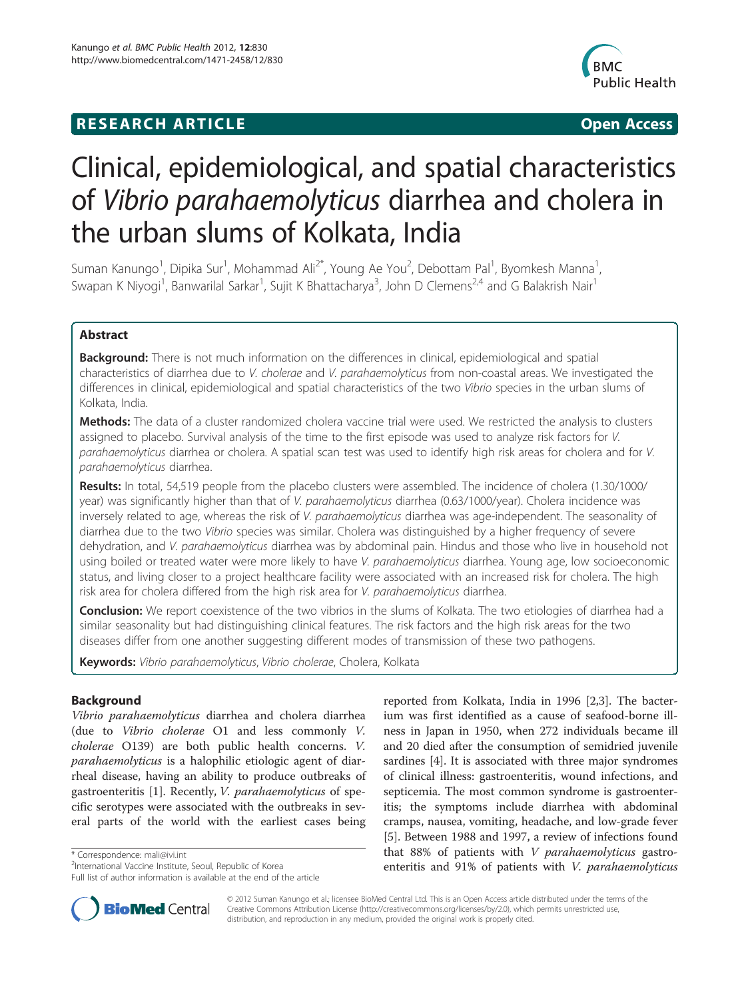# **RESEARCH ARTICLE CONSUMING A RESEARCH ARTICLE**



# Clinical, epidemiological, and spatial characteristics of Vibrio parahaemolyticus diarrhea and cholera in the urban slums of Kolkata, India

Suman Kanungo<sup>1</sup>, Dipika Sur<sup>1</sup>, Mohammad Ali<sup>2\*</sup>, Young Ae You<sup>2</sup>, Debottam Pal<sup>1</sup>, Byomkesh Manna<sup>1</sup> , Swapan K Niyogi<sup>1</sup>, Banwarilal Sarkar<sup>1</sup>, Sujit K Bhattacharya<sup>3</sup>, John D Clemens<sup>2,4</sup> and G Balakrish Nair<sup>1</sup>

# Abstract

**Background:** There is not much information on the differences in clinical, epidemiological and spatial characteristics of diarrhea due to V. cholerae and V. parahaemolyticus from non-coastal areas. We investigated the differences in clinical, epidemiological and spatial characteristics of the two Vibrio species in the urban slums of Kolkata, India.

**Methods:** The data of a cluster randomized cholera vaccine trial were used. We restricted the analysis to clusters assigned to placebo. Survival analysis of the time to the first episode was used to analyze risk factors for V. parahaemolyticus diarrhea or cholera. A spatial scan test was used to identify high risk areas for cholera and for V. parahaemolyticus diarrhea.

Results: In total, 54,519 people from the placebo clusters were assembled. The incidence of cholera (1.30/1000/ year) was significantly higher than that of V. parahaemolyticus diarrhea (0.63/1000/year). Cholera incidence was inversely related to age, whereas the risk of V. parahaemolyticus diarrhea was age-independent. The seasonality of diarrhea due to the two Vibrio species was similar. Cholera was distinguished by a higher frequency of severe dehydration, and V. parahaemolyticus diarrhea was by abdominal pain. Hindus and those who live in household not using boiled or treated water were more likely to have *V. parahaemolyticus* diarrhea. Young age, low socioeconomic status, and living closer to a project healthcare facility were associated with an increased risk for cholera. The high risk area for cholera differed from the high risk area for V. parahaemolyticus diarrhea.

Conclusion: We report coexistence of the two vibrios in the slums of Kolkata. The two etiologies of diarrhea had a similar seasonality but had distinguishing clinical features. The risk factors and the high risk areas for the two diseases differ from one another suggesting different modes of transmission of these two pathogens.

Keywords: Vibrio parahaemolyticus, Vibrio cholerae, Cholera, Kolkata

# Background

Vibrio parahaemolyticus diarrhea and cholera diarrhea (due to Vibrio cholerae O1 and less commonly V. cholerae O139) are both public health concerns. V. parahaemolyticus is a halophilic etiologic agent of diarrheal disease, having an ability to produce outbreaks of gastroenteritis [\[1](#page-7-0)]. Recently, V. parahaemolyticus of specific serotypes were associated with the outbreaks in several parts of the world with the earliest cases being

\* Correspondence: [mali@ivi.int](mailto:mali@ivi.int) <sup>2</sup>

Full list of author information is available at the end of the article

reported from Kolkata, India in 1996 [[2](#page-7-0),[3\]](#page-7-0). The bacterium was first identified as a cause of seafood-borne illness in Japan in 1950, when 272 individuals became ill and 20 died after the consumption of semidried juvenile sardines [\[4](#page-7-0)]. It is associated with three major syndromes of clinical illness: gastroenteritis, wound infections, and septicemia. The most common syndrome is gastroenteritis; the symptoms include diarrhea with abdominal cramps, nausea, vomiting, headache, and low-grade fever [[5\]](#page-7-0). Between 1988 and 1997, a review of infections found that 88% of patients with V parahaemolyticus gastroenteritis and 91% of patients with V. parahaemolyticus



© 2012 Suman Kanungo et al.; licensee BioMed Central Ltd. This is an Open Access article distributed under the terms of the Creative Commons Attribution License (<http://creativecommons.org/licenses/by/2.0>), which permits unrestricted use, distribution, and reproduction in any medium, provided the original work is properly cited.

<sup>&</sup>lt;sup>2</sup>International Vaccine Institute, Seoul, Republic of Korea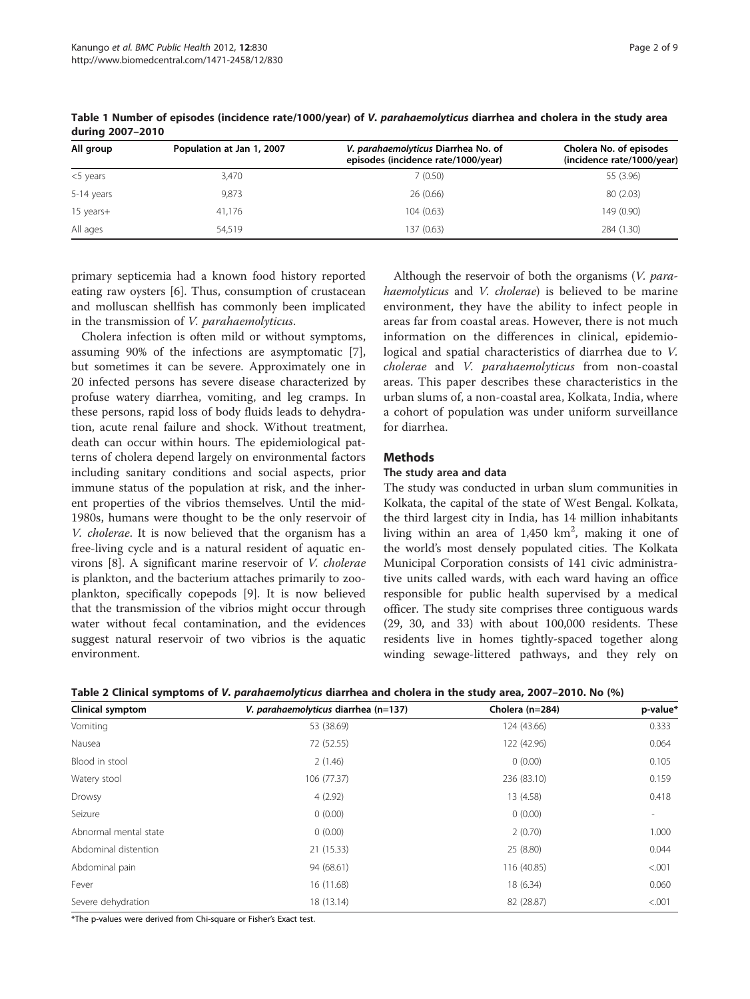| All group  | Population at Jan 1, 2007 | V. parahaemolyticus Diarrhea No. of<br>episodes (incidence rate/1000/year) | Cholera No. of episodes<br>(incidence rate/1000/year) |  |
|------------|---------------------------|----------------------------------------------------------------------------|-------------------------------------------------------|--|
| <5 years   | 3.470                     | 7(0.50)                                                                    | 55 (3.96)                                             |  |
| 5-14 years | 9,873                     | 26(0.66)                                                                   | 80 (2.03)                                             |  |
| 15 years+  | 41.176                    | 104(0.63)                                                                  | 149 (0.90)                                            |  |
| All ages   | 54,519                    | 137 (0.63)                                                                 | 284 (1.30)                                            |  |

<span id="page-1-0"></span>Table 1 Number of episodes (incidence rate/1000/year) of V. parahaemolyticus diarrhea and cholera in the study area during 2007–2010

primary septicemia had a known food history reported eating raw oysters [\[6](#page-7-0)]. Thus, consumption of crustacean and molluscan shellfish has commonly been implicated in the transmission of V. parahaemolyticus.

Cholera infection is often mild or without symptoms, assuming 90% of the infections are asymptomatic [\[7](#page-7-0)], but sometimes it can be severe. Approximately one in 20 infected persons has severe disease characterized by profuse watery diarrhea, vomiting, and leg cramps. In these persons, rapid loss of body fluids leads to dehydration, acute renal failure and shock. Without treatment, death can occur within hours. The epidemiological patterns of cholera depend largely on environmental factors including sanitary conditions and social aspects, prior immune status of the population at risk, and the inherent properties of the vibrios themselves. Until the mid-1980s, humans were thought to be the only reservoir of V. cholerae. It is now believed that the organism has a free-living cycle and is a natural resident of aquatic environs [[8\]](#page-7-0). A significant marine reservoir of V. cholerae is plankton, and the bacterium attaches primarily to zooplankton, specifically copepods [\[9](#page-7-0)]. It is now believed that the transmission of the vibrios might occur through water without fecal contamination, and the evidences suggest natural reservoir of two vibrios is the aquatic environment.

Although the reservoir of both the organisms (V. parahaemolyticus and V. cholerae) is believed to be marine environment, they have the ability to infect people in areas far from coastal areas. However, there is not much information on the differences in clinical, epidemiological and spatial characteristics of diarrhea due to V. cholerae and V. parahaemolyticus from non-coastal areas. This paper describes these characteristics in the urban slums of, a non-coastal area, Kolkata, India, where a cohort of population was under uniform surveillance for diarrhea.

### **Methods**

#### The study area and data

The study was conducted in urban slum communities in Kolkata, the capital of the state of West Bengal. Kolkata, the third largest city in India, has 14 million inhabitants living within an area of  $1,450$  km<sup>2</sup>, making it one of the world's most densely populated cities. The Kolkata Municipal Corporation consists of 141 civic administrative units called wards, with each ward having an office responsible for public health supervised by a medical officer. The study site comprises three contiguous wards (29, 30, and 33) with about 100,000 residents. These residents live in homes tightly-spaced together along winding sewage-littered pathways, and they rely on

Table 2 Clinical symptoms of V. parahaemolyticus diarrhea and cholera in the study area, 2007–2010. No (%)

| Clinical symptom      | V. parahaemolyticus diarrhea (n=137) | Cholera (n=284) | p-value* |
|-----------------------|--------------------------------------|-----------------|----------|
| Vomiting              | 53 (38.69)                           | 124 (43.66)     | 0.333    |
| Nausea                | 72 (52.55)                           | 122 (42.96)     | 0.064    |
| Blood in stool        | 2(1.46)                              | 0(0.00)         | 0.105    |
| Watery stool          | 106 (77.37)                          | 236 (83.10)     | 0.159    |
| Drowsy                | 4(2.92)                              | 13 (4.58)       | 0.418    |
| Seizure               | 0(0.00)                              | 0(0.00)         |          |
| Abnormal mental state | 0(0.00)                              | 2(0.70)         | 1.000    |
| Abdominal distention  | 21 (15.33)                           | 25 (8.80)       | 0.044    |
| Abdominal pain        | 94 (68.61)                           | 116 (40.85)     | < 0.001  |
| Fever                 | 16 (11.68)                           | 18 (6.34)       | 0.060    |
| Severe dehydration    | 18 (13.14)                           | 82 (28.87)      | < 0.001  |

\*The p-values were derived from Chi-square or Fisher's Exact test.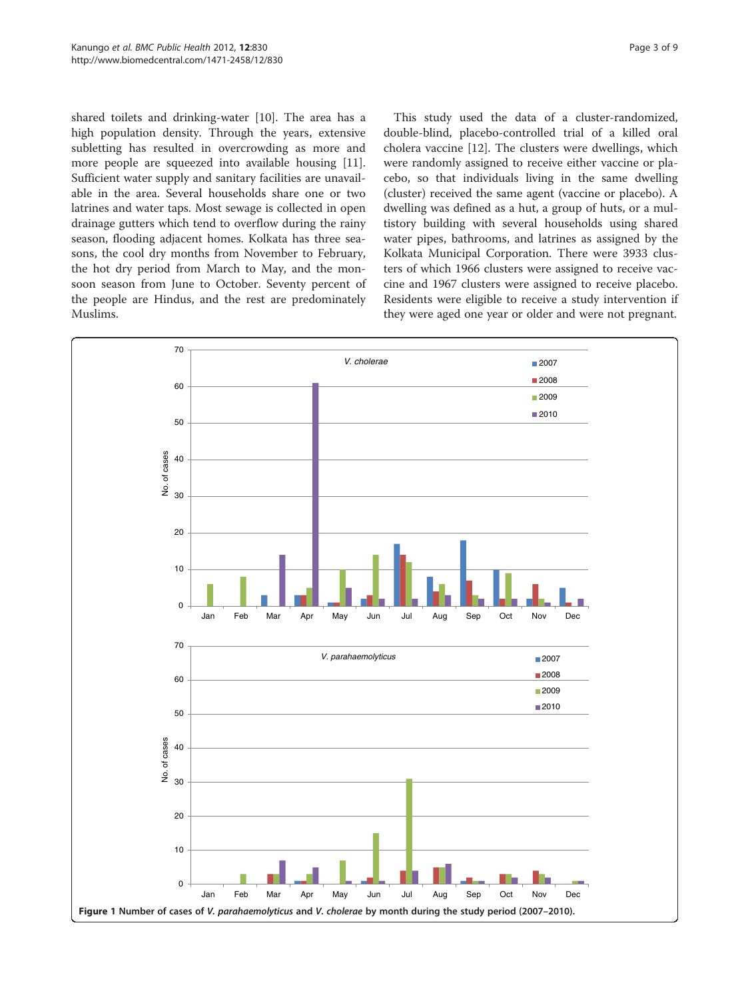<span id="page-2-0"></span>shared toilets and drinking-water [[10\]](#page-7-0). The area has a high population density. Through the years, extensive subletting has resulted in overcrowding as more and more people are squeezed into available housing [\[11](#page-7-0)]. Sufficient water supply and sanitary facilities are unavailable in the area. Several households share one or two latrines and water taps. Most sewage is collected in open drainage gutters which tend to overflow during the rainy season, flooding adjacent homes. Kolkata has three seasons, the cool dry months from November to February, the hot dry period from March to May, and the monsoon season from June to October. Seventy percent of the people are Hindus, and the rest are predominately Muslims.

This study used the data of a cluster-randomized, double-blind, placebo-controlled trial of a killed oral cholera vaccine [[12](#page-8-0)]. The clusters were dwellings, which were randomly assigned to receive either vaccine or placebo, so that individuals living in the same dwelling (cluster) received the same agent (vaccine or placebo). A dwelling was defined as a hut, a group of huts, or a multistory building with several households using shared water pipes, bathrooms, and latrines as assigned by the Kolkata Municipal Corporation. There were 3933 clusters of which 1966 clusters were assigned to receive vaccine and 1967 clusters were assigned to receive placebo. Residents were eligible to receive a study intervention if they were aged one year or older and were not pregnant.

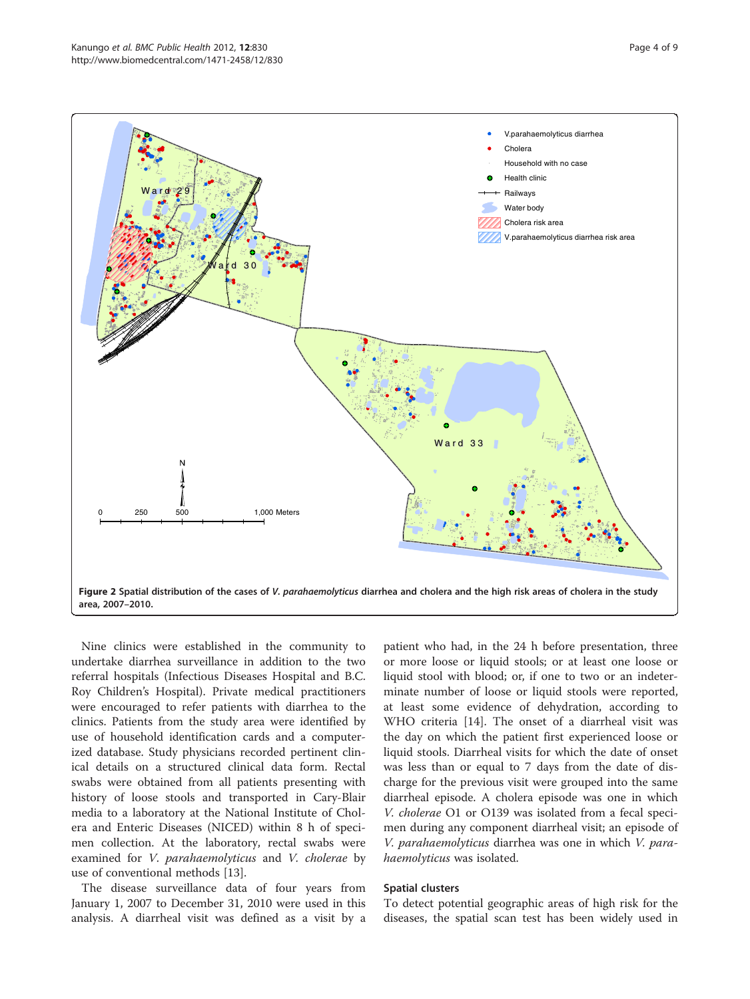<span id="page-3-0"></span>

 $Ward 33$ 



Nine clinics were established in the community to undertake diarrhea surveillance in addition to the two referral hospitals (Infectious Diseases Hospital and B.C. Roy Children's Hospital). Private medical practitioners were encouraged to refer patients with diarrhea to the clinics. Patients from the study area were identified by use of household identification cards and a computerized database. Study physicians recorded pertinent clinical details on a structured clinical data form. Rectal swabs were obtained from all patients presenting with history of loose stools and transported in Cary-Blair media to a laboratory at the National Institute of Cholera and Enteric Diseases (NICED) within 8 h of specimen collection. At the laboratory, rectal swabs were examined for V. parahaemolyticus and V. cholerae by use of conventional methods [[13\]](#page-8-0).

250 500 1,000 Meters

The disease surveillance data of four years from January 1, 2007 to December 31, 2010 were used in this analysis. A diarrheal visit was defined as a visit by a

patient who had, in the 24 h before presentation, three or more loose or liquid stools; or at least one loose or liquid stool with blood; or, if one to two or an indeterminate number of loose or liquid stools were reported, at least some evidence of dehydration, according to WHO criteria [[14](#page-8-0)]. The onset of a diarrheal visit was the day on which the patient first experienced loose or liquid stools. Diarrheal visits for which the date of onset was less than or equal to 7 days from the date of discharge for the previous visit were grouped into the same diarrheal episode. A cholera episode was one in which V. cholerae O1 or O139 was isolated from a fecal specimen during any component diarrheal visit; an episode of V. parahaemolyticus diarrhea was one in which V. parahaemolyticus was isolated.

#### Spatial clusters

To detect potential geographic areas of high risk for the diseases, the spatial scan test has been widely used in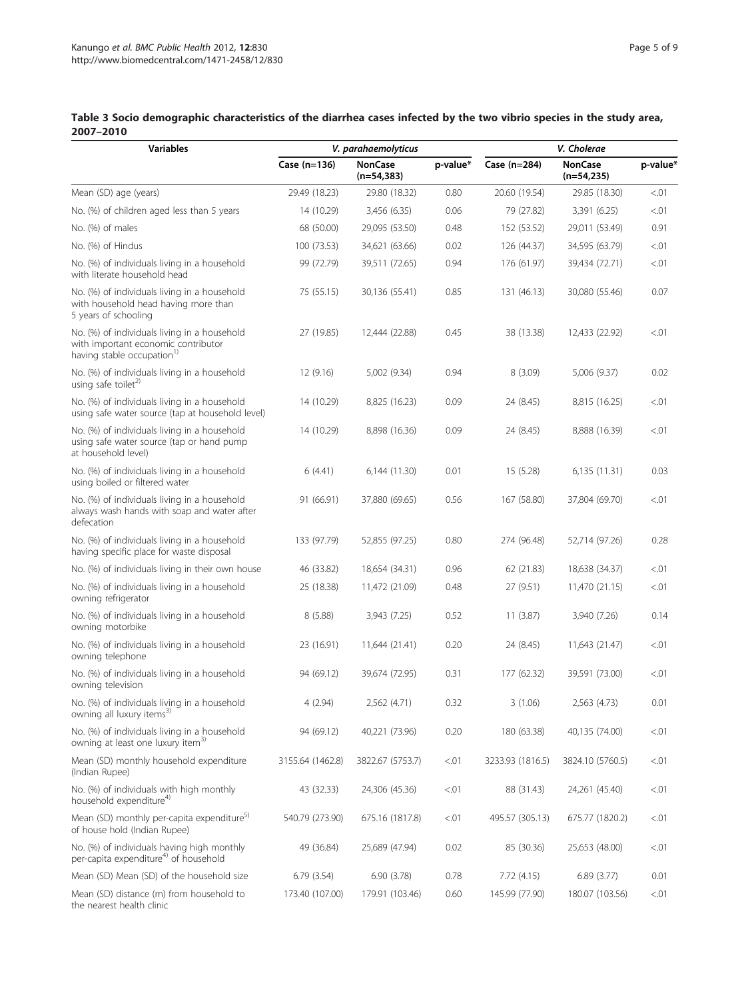# <span id="page-4-0"></span>Table 3 Socio demographic characteristics of the diarrhea cases infected by the two vibrio species in the study area, 2007–2010

| <b>Variables</b>                                                                                                              | V. parahaemolyticus |                                | V. Cholerae |                  |                                |          |
|-------------------------------------------------------------------------------------------------------------------------------|---------------------|--------------------------------|-------------|------------------|--------------------------------|----------|
|                                                                                                                               | Case (n=136)        | <b>NonCase</b><br>$(n=54,383)$ | p-value*    | Case (n=284)     | <b>NonCase</b><br>$(n=54,235)$ | p-value* |
| Mean (SD) age (years)                                                                                                         | 29.49 (18.23)       | 29.80 (18.32)                  | 0.80        | 20.60 (19.54)    | 29.85 (18.30)                  | < 0.01   |
| No. (%) of children aged less than 5 years                                                                                    | 14 (10.29)          | 3,456 (6.35)                   | 0.06        | 79 (27.82)       | 3,391 (6.25)                   | < 01     |
| No. (%) of males                                                                                                              | 68 (50.00)          | 29,095 (53.50)                 | 0.48        | 152 (53.52)      | 29,011 (53.49)                 | 0.91     |
| No. (%) of Hindus                                                                                                             | 100 (73.53)         | 34,621 (63.66)                 | 0.02        | 126 (44.37)      | 34,595 (63.79)                 | < 01     |
| No. (%) of individuals living in a household<br>with literate household head                                                  | 99 (72.79)          | 39,511 (72.65)                 | 0.94        | 176 (61.97)      | 39,434 (72.71)                 | < 01     |
| No. (%) of individuals living in a household<br>with household head having more than<br>5 years of schooling                  | 75 (55.15)          | 30,136 (55.41)                 | 0.85        | 131 (46.13)      | 30,080 (55.46)                 | 0.07     |
| No. (%) of individuals living in a household<br>with important economic contributor<br>having stable occupation <sup>1)</sup> | 27 (19.85)          | 12,444 (22.88)                 | 0.45        | 38 (13.38)       | 12,433 (22.92)                 | < 01     |
| No. (%) of individuals living in a household<br>using safe toilet <sup>2)</sup>                                               | 12(9.16)            | 5,002 (9.34)                   | 0.94        | 8(3.09)          | 5,006 (9.37)                   | 0.02     |
| No. (%) of individuals living in a household<br>using safe water source (tap at household level)                              | 14 (10.29)          | 8,825 (16.23)                  | 0.09        | 24 (8.45)        | 8,815 (16.25)                  | < 01     |
| No. (%) of individuals living in a household<br>using safe water source (tap or hand pump<br>at household level)              | 14 (10.29)          | 8,898 (16.36)                  | 0.09        | 24 (8.45)        | 8,888 (16.39)                  | < 01     |
| No. (%) of individuals living in a household<br>using boiled or filtered water                                                | 6 (4.41)            | 6,144 (11.30)                  | 0.01        | 15(5.28)         | 6,135 (11.31)                  | 0.03     |
| No. (%) of individuals living in a household<br>always wash hands with soap and water after<br>defecation                     | 91 (66.91)          | 37,880 (69.65)                 | 0.56        | 167 (58.80)      | 37,804 (69.70)                 | < 0.01   |
| No. (%) of individuals living in a household<br>having specific place for waste disposal                                      | 133 (97.79)         | 52,855 (97.25)                 | 0.80        | 274 (96.48)      | 52,714 (97.26)                 | 0.28     |
| No. (%) of individuals living in their own house                                                                              | 46 (33.82)          | 18,654 (34.31)                 | 0.96        | 62 (21.83)       | 18,638 (34.37)                 | < 01     |
| No. (%) of individuals living in a household<br>owning refrigerator                                                           | 25 (18.38)          | 11,472 (21.09)                 | 0.48        | 27 (9.51)        | 11,470 (21.15)                 | < 01     |
| No. (%) of individuals living in a household<br>owning motorbike                                                              | 8(5.88)             | 3,943 (7.25)                   | 0.52        | 11(3.87)         | 3,940 (7.26)                   | 0.14     |
| No. (%) of individuals living in a household<br>owning telephone                                                              | 23 (16.91)          | 11,644 (21.41)                 | 0.20        | 24 (8.45)        | 11,643 (21.47)                 | < 01     |
| No. (%) of individuals living in a household<br>owning television                                                             | 94 (69.12)          | 39,674 (72.95)                 | 0.31        | 177 (62.32)      | 39,591 (73.00)                 | < 0.01   |
| No. (%) of individuals living in a household<br>owning all luxury items <sup>3)</sup>                                         | 4(2.94)             | 2,562 (4.71)                   | 0.32        | 3(1.06)          | 2,563 (4.73)                   | 0.01     |
| No. (%) of individuals living in a household<br>owning at least one luxury item <sup>3)</sup>                                 | 94 (69.12)          | 40,221 (73.96)                 | 0.20        | 180 (63.38)      | 40,135 (74.00)                 | < 01     |
| Mean (SD) monthly household expenditure<br>(Indian Rupee)                                                                     | 3155.64 (1462.8)    | 3822.67 (5753.7)               | < 01        | 3233.93 (1816.5) | 3824.10 (5760.5)               | < 01     |
| No. (%) of individuals with high monthly<br>household expenditure <sup>4)</sup>                                               | 43 (32.33)          | 24,306 (45.36)                 | < 01        | 88 (31.43)       | 24,261 (45.40)                 | < 01     |
| Mean (SD) monthly per-capita expenditure <sup>5)</sup><br>of house hold (Indian Rupee)                                        | 540.79 (273.90)     | 675.16 (1817.8)                | < 01        | 495.57 (305.13)  | 675.77 (1820.2)                | < 01     |
| No. (%) of individuals having high monthly<br>per-capita expenditure <sup>4)</sup> of household                               | 49 (36.84)          | 25,689 (47.94)                 | 0.02        | 85 (30.36)       | 25,653 (48.00)                 | < 01     |
| Mean (SD) Mean (SD) of the household size                                                                                     | 6.79(3.54)          | 6.90(3.78)                     | 0.78        | 7.72(4.15)       | 6.89(3.77)                     | 0.01     |
| Mean (SD) distance (m) from household to<br>the nearest health clinic                                                         | 173.40 (107.00)     | 179.91 (103.46)                | 0.60        | 145.99 (77.90)   | 180.07 (103.56)                | < 01     |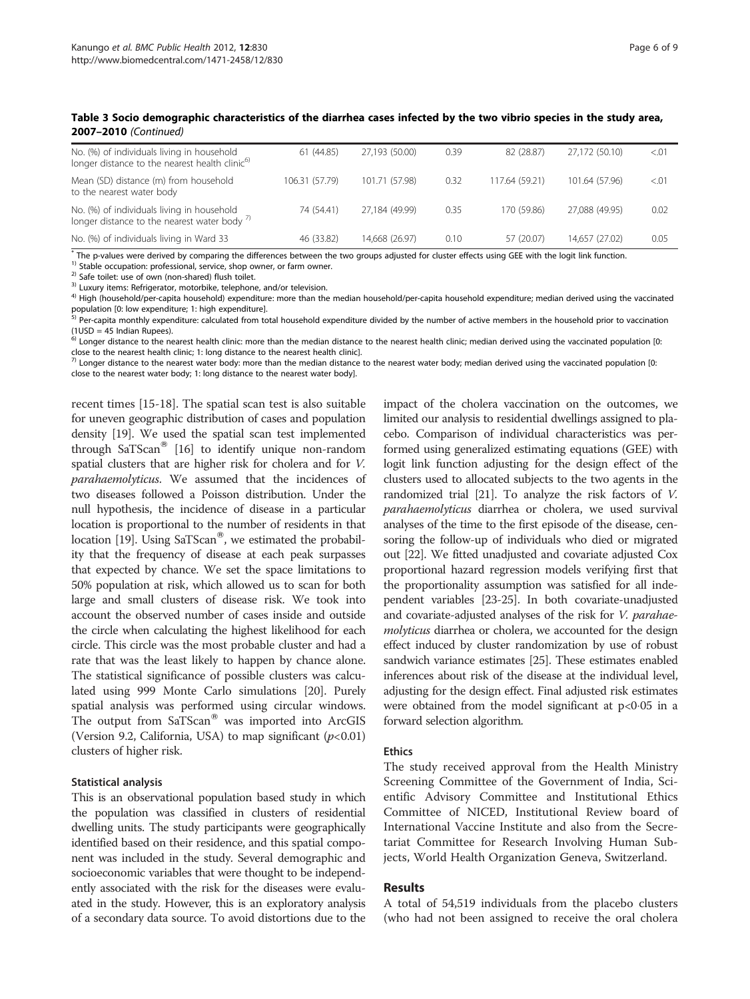#### Table 3 Socio demographic characteristics of the diarrhea cases infected by the two vibrio species in the study area, 2007–2010 (Continued)

| No. (%) of individuals living in household<br>longer distance to the nearest health clinic <sup>6)</sup> | 61 (44.85)     | 27,193 (50.00) | 0.39 | 82 (28.87)     | 27,172 (50.10) | < 0.01 |
|----------------------------------------------------------------------------------------------------------|----------------|----------------|------|----------------|----------------|--------|
| Mean (SD) distance (m) from household<br>to the nearest water body                                       | 106.31 (57.79) | 101.71 (57.98) | 0.32 | 117.64 (59.21) | 101.64 (57.96) | < 0.01 |
| No. (%) of individuals living in household<br>longer distance to the nearest water body $\frac{7}{2}$    | 74 (54.41)     | 27.184 (49.99) | 0.35 | 170 (59.86)    | 27.088 (49.95) | 0.02   |
| No. (%) of individuals living in Ward 33                                                                 | 46 (33.82)     | 14,668 (26.97) | 0.10 | 57 (20.07)     | 14,657 (27.02) | 0.05   |

 $*$  The p-values were derived by comparing the differences between the two groups adjusted for cluster effects using GEE with the logit link function.<br><sup>1)</sup> Stable occupation: professional, service, shop owner, or farm own

<sup>2)</sup> Safe toilet: use of own (non-shared) flush toilet.<br><sup>3)</sup> Luxury items: Refrigerator, motorbike, telephone, and/or television.<br><sup>4)</sup> High (household/per-capita household) expenditure: more than the median household/per-

population [0: low expenditure; 1: high expenditure].<br><sup>5)</sup> Per-capita monthly expenditure: calculated from total household expenditure divided by the number of active members in the household prior to vaccination  $(1USD = 45 \text{ Indian Rupees}).$ 

 $6)$  Longer distance to the nearest health clinic: more than the median distance to the nearest health clinic; median derived using the vaccinated population [0: close to the nearest health clinic; 1: long distance to the nearest health clinic].

 $7$  Longer distance to the nearest water body: more than the median distance to the nearest water body; median derived using the vaccinated population [0: close to the nearest water body; 1: long distance to the nearest water body].

recent times [\[15](#page-8-0)-[18\]](#page-8-0). The spatial scan test is also suitable for uneven geographic distribution of cases and population density [\[19\]](#page-8-0). We used the spatial scan test implemented through  $SaTScan^{\circledR}$  [[16](#page-8-0)] to identify unique non-random spatial clusters that are higher risk for cholera and for V. parahaemolyticus. We assumed that the incidences of two diseases followed a Poisson distribution. Under the null hypothesis, the incidence of disease in a particular location is proportional to the number of residents in that location [[19](#page-8-0)]. Using  $SaTScan^@$ , we estimated the probability that the frequency of disease at each peak surpasses that expected by chance. We set the space limitations to 50% population at risk, which allowed us to scan for both large and small clusters of disease risk. We took into account the observed number of cases inside and outside the circle when calculating the highest likelihood for each circle. This circle was the most probable cluster and had a rate that was the least likely to happen by chance alone. The statistical significance of possible clusters was calculated using 999 Monte Carlo simulations [[20](#page-8-0)]. Purely spatial analysis was performed using circular windows. The output from SaTScan<sup>®</sup> was imported into ArcGIS (Version 9.2, California, USA) to map significant  $(p<0.01)$ clusters of higher risk.

# Statistical analysis

This is an observational population based study in which the population was classified in clusters of residential dwelling units. The study participants were geographically identified based on their residence, and this spatial component was included in the study. Several demographic and socioeconomic variables that were thought to be independently associated with the risk for the diseases were evaluated in the study. However, this is an exploratory analysis of a secondary data source. To avoid distortions due to the

impact of the cholera vaccination on the outcomes, we limited our analysis to residential dwellings assigned to placebo. Comparison of individual characteristics was performed using generalized estimating equations (GEE) with logit link function adjusting for the design effect of the clusters used to allocated subjects to the two agents in the randomized trial [\[21\]](#page-8-0). To analyze the risk factors of V. parahaemolyticus diarrhea or cholera, we used survival analyses of the time to the first episode of the disease, censoring the follow-up of individuals who died or migrated out [\[22\]](#page-8-0). We fitted unadjusted and covariate adjusted Cox proportional hazard regression models verifying first that the proportionality assumption was satisfied for all independent variables [\[23-25\]](#page-8-0). In both covariate-unadjusted and covariate-adjusted analyses of the risk for V. parahaemolyticus diarrhea or cholera, we accounted for the design effect induced by cluster randomization by use of robust sandwich variance estimates [\[25\]](#page-8-0). These estimates enabled inferences about risk of the disease at the individual level, adjusting for the design effect. Final adjusted risk estimates were obtained from the model significant at  $p<0.05$  in a forward selection algorithm.

#### Ethics

The study received approval from the Health Ministry Screening Committee of the Government of India, Scientific Advisory Committee and Institutional Ethics Committee of NICED, Institutional Review board of International Vaccine Institute and also from the Secretariat Committee for Research Involving Human Subjects, World Health Organization Geneva, Switzerland.

#### Results

A total of 54,519 individuals from the placebo clusters (who had not been assigned to receive the oral cholera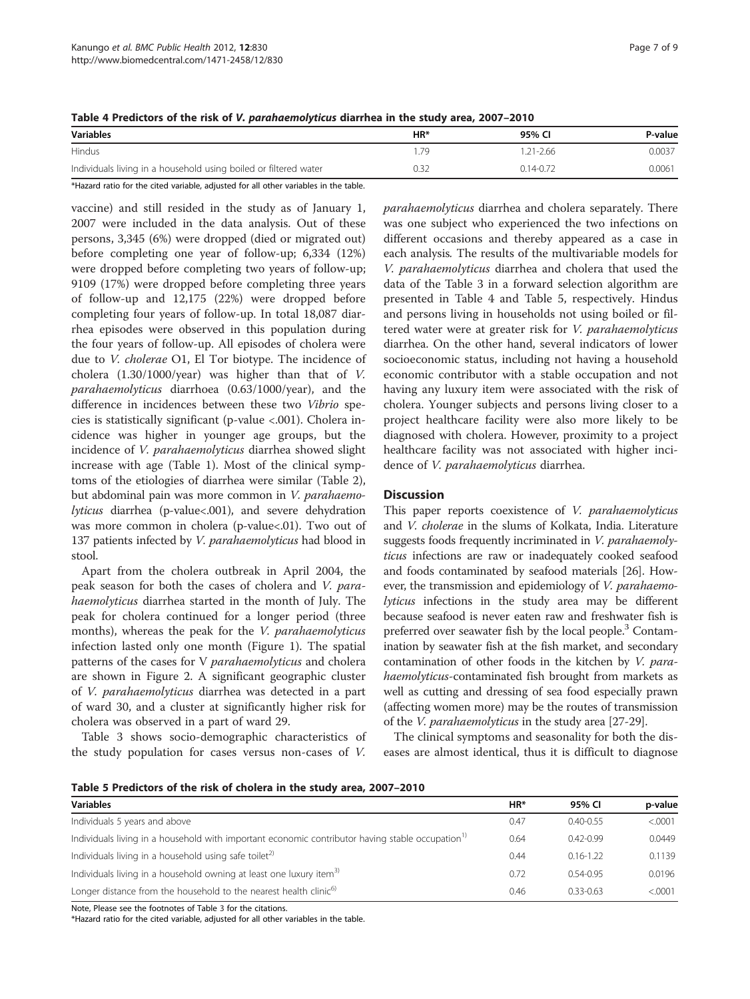| HR*  | 95% CI        | P-value |
|------|---------------|---------|
| 79   | 1.21-2.66     | 0.0037  |
| 0.32 | $0.14 - 0.72$ | 0.0061  |
|      |               |         |

Table 4 Predictors of the risk of V. parahaemolyticus diarrhea in the study area, 2007–2010

\*Hazard ratio for the cited variable, adjusted for all other variables in the table.

vaccine) and still resided in the study as of January 1, 2007 were included in the data analysis. Out of these persons, 3,345 (6%) were dropped (died or migrated out) before completing one year of follow-up; 6,334 (12%) were dropped before completing two years of follow-up; 9109 (17%) were dropped before completing three years of follow-up and 12,175 (22%) were dropped before completing four years of follow-up. In total 18,087 diarrhea episodes were observed in this population during the four years of follow-up. All episodes of cholera were due to V. cholerae O1, El Tor biotype. The incidence of cholera (1.30/1000/year) was higher than that of V. parahaemolyticus diarrhoea (0.63/1000/year), and the difference in incidences between these two Vibrio species is statistically significant (p-value <.001). Cholera incidence was higher in younger age groups, but the incidence of V. parahaemolyticus diarrhea showed slight increase with age (Table [1](#page-1-0)). Most of the clinical symptoms of the etiologies of diarrhea were similar (Table [2](#page-1-0)), but abdominal pain was more common in V. parahaemolyticus diarrhea (p-value<.001), and severe dehydration was more common in cholera (p-value<.01). Two out of 137 patients infected by V. parahaemolyticus had blood in stool.

Apart from the cholera outbreak in April 2004, the peak season for both the cases of cholera and V. parahaemolyticus diarrhea started in the month of July. The peak for cholera continued for a longer period (three months), whereas the peak for the V. parahaemolyticus infection lasted only one month (Figure [1\)](#page-2-0). The spatial patterns of the cases for V *parahaemolyticus* and cholera are shown in Figure [2.](#page-3-0) A significant geographic cluster of V. parahaemolyticus diarrhea was detected in a part of ward 30, and a cluster at significantly higher risk for cholera was observed in a part of ward 29.

Table [3](#page-4-0) shows socio-demographic characteristics of the study population for cases versus non-cases of V.

parahaemolyticus diarrhea and cholera separately. There was one subject who experienced the two infections on different occasions and thereby appeared as a case in each analysis. The results of the multivariable models for V. parahaemolyticus diarrhea and cholera that used the data of the Table [3](#page-4-0) in a forward selection algorithm are presented in Table 4 and Table 5, respectively. Hindus and persons living in households not using boiled or filtered water were at greater risk for V. parahaemolyticus diarrhea. On the other hand, several indicators of lower socioeconomic status, including not having a household economic contributor with a stable occupation and not having any luxury item were associated with the risk of cholera. Younger subjects and persons living closer to a project healthcare facility were also more likely to be diagnosed with cholera. However, proximity to a project healthcare facility was not associated with higher incidence of V. parahaemolyticus diarrhea.

# **Discussion**

This paper reports coexistence of V. parahaemolyticus and V. cholerae in the slums of Kolkata, India. Literature suggests foods frequently incriminated in V. parahaemolyticus infections are raw or inadequately cooked seafood and foods contaminated by seafood materials [\[26\]](#page-8-0). However, the transmission and epidemiology of V. parahaemolyticus infections in the study area may be different because seafood is never eaten raw and freshwater fish is preferred over seawater fish by the local people.<sup>3</sup> Contamination by seawater fish at the fish market, and secondary contamination of other foods in the kitchen by V. parahaemolyticus-contaminated fish brought from markets as well as cutting and dressing of sea food especially prawn (affecting women more) may be the routes of transmission of the V. parahaemolyticus in the study area [[27](#page-8-0)-[29](#page-8-0)].

The clinical symptoms and seasonality for both the diseases are almost identical, thus it is difficult to diagnose

Table 5 Predictors of the risk of cholera in the study area, 2007–2010

| <b>Variables</b>                                                                                                                                                                                                                                                                                         | $HR*$ | 95% CI        | p-value |
|----------------------------------------------------------------------------------------------------------------------------------------------------------------------------------------------------------------------------------------------------------------------------------------------------------|-------|---------------|---------|
| Individuals 5 years and above                                                                                                                                                                                                                                                                            | 0.47  | $0.40 - 0.55$ | < .0001 |
| Individuals living in a household with important economic contributor having stable occupation <sup>1)</sup>                                                                                                                                                                                             | 0.64  | $0.42 - 0.99$ | 0.0449  |
| Individuals living in a household using safe toilet <sup>2)</sup>                                                                                                                                                                                                                                        | 0.44  | $0.16 - 1.22$ | 0.1139  |
| Individuals living in a household owning at least one luxury item <sup>3)</sup>                                                                                                                                                                                                                          | 0.72  | $0.54 - 0.95$ | 0.0196  |
| Longer distance from the household to the nearest health clinic <sup>6)</sup>                                                                                                                                                                                                                            | 0.46  | $0.33 - 0.63$ | < 0001  |
| $\mathbf{a}$ . At the set of $\mathbf{a}$ , $\mathbf{a}$ , $\mathbf{a}$ , $\mathbf{a}$ , $\mathbf{a}$ , $\mathbf{a}$ , $\mathbf{a}$ , $\mathbf{a}$ , $\mathbf{a}$ , $\mathbf{a}$ , $\mathbf{a}$ , $\mathbf{a}$ , $\mathbf{a}$ , $\mathbf{a}$ , $\mathbf{a}$ , $\mathbf{a}$ , $\mathbf{a}$ , $\mathbf{a}$ |       |               |         |

Note, Please see the footnotes of Table [3](#page-4-0) for the citations.

\*Hazard ratio for the cited variable, adjusted for all other variables in the table.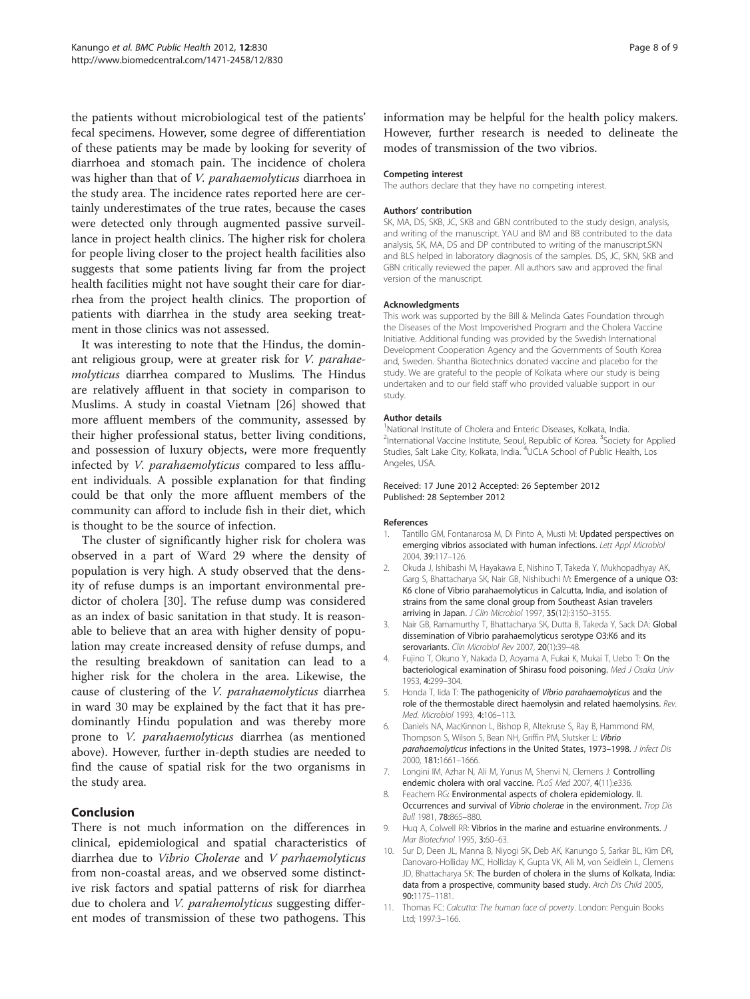<span id="page-7-0"></span>the patients without microbiological test of the patients' fecal specimens. However, some degree of differentiation of these patients may be made by looking for severity of diarrhoea and stomach pain. The incidence of cholera was higher than that of V. parahaemolyticus diarrhoea in the study area. The incidence rates reported here are certainly underestimates of the true rates, because the cases were detected only through augmented passive surveillance in project health clinics. The higher risk for cholera for people living closer to the project health facilities also suggests that some patients living far from the project health facilities might not have sought their care for diarrhea from the project health clinics. The proportion of patients with diarrhea in the study area seeking treatment in those clinics was not assessed.

It was interesting to note that the Hindus, the dominant religious group, were at greater risk for V. parahaemolyticus diarrhea compared to Muslims. The Hindus are relatively affluent in that society in comparison to Muslims. A study in coastal Vietnam [\[26](#page-8-0)] showed that more affluent members of the community, assessed by their higher professional status, better living conditions, and possession of luxury objects, were more frequently infected by V. parahaemolyticus compared to less affluent individuals. A possible explanation for that finding could be that only the more affluent members of the community can afford to include fish in their diet, which is thought to be the source of infection.

The cluster of significantly higher risk for cholera was observed in a part of Ward 29 where the density of population is very high. A study observed that the density of refuse dumps is an important environmental predictor of cholera [[30\]](#page-8-0). The refuse dump was considered as an index of basic sanitation in that study. It is reasonable to believe that an area with higher density of population may create increased density of refuse dumps, and the resulting breakdown of sanitation can lead to a higher risk for the cholera in the area. Likewise, the cause of clustering of the V. parahaemolyticus diarrhea in ward 30 may be explained by the fact that it has predominantly Hindu population and was thereby more prone to V. parahaemolyticus diarrhea (as mentioned above). However, further in-depth studies are needed to find the cause of spatial risk for the two organisms in the study area.

# Conclusion

There is not much information on the differences in clinical, epidemiological and spatial characteristics of diarrhea due to Vibrio Cholerae and V parhaemolyticus from non-coastal areas, and we observed some distinctive risk factors and spatial patterns of risk for diarrhea due to cholera and *V. parahemolyticus* suggesting different modes of transmission of these two pathogens. This

information may be helpful for the health policy makers. However, further research is needed to delineate the modes of transmission of the two vibrios.

#### Competing interest

The authors declare that they have no competing interest.

#### Authors' contribution

SK, MA, DS, SKB, JC, SKB and GBN contributed to the study design, analysis, and writing of the manuscript. YAU and BM and BB contributed to the data analysis, SK, MA, DS and DP contributed to writing of the manuscript.SKN and BLS helped in laboratory diagnosis of the samples. DS, JC, SKN, SKB and GBN critically reviewed the paper. All authors saw and approved the final version of the manuscript.

#### Acknowledgments

This work was supported by the Bill & Melinda Gates Foundation through the Diseases of the Most Impoverished Program and the Cholera Vaccine Initiative. Additional funding was provided by the Swedish International Development Cooperation Agency and the Governments of South Korea and, Sweden. Shantha Biotechnics donated vaccine and placebo for the study. We are grateful to the people of Kolkata where our study is being undertaken and to our field staff who provided valuable support in our study.

#### Author details

<sup>1</sup>National Institute of Cholera and Enteric Diseases, Kolkata, India <sup>2</sup>International Vaccine Institute, Seoul, Republic of Korea. <sup>3</sup>Society for Applied Studies, Salt Lake City, Kolkata, India. <sup>4</sup>UCLA School of Public Health, Los Angeles, USA.

#### Received: 17 June 2012 Accepted: 26 September 2012 Published: 28 September 2012

#### References

- 1. Tantillo GM, Fontanarosa M, Di Pinto A, Musti M: Updated perspectives on emerging vibrios associated with human infections. Lett Appl Microbiol 2004, 39:117–126.
- 2. Okuda J, Ishibashi M, Hayakawa E, Nishino T, Takeda Y, Mukhopadhyay AK, Garg S, Bhattacharya SK, Nair GB, Nishibuchi M: Emergence of a unique O3: K6 clone of Vibrio parahaemolyticus in Calcutta, India, and isolation of strains from the same clonal group from Southeast Asian travelers arriving in Japan. J Clin Microbiol 1997, 35(12):3150–3155.
- 3. Nair GB, Ramamurthy T, Bhattacharya SK, Dutta B, Takeda Y, Sack DA: Global dissemination of Vibrio parahaemolyticus serotype O3:K6 and its serovariants. Clin Microbiol Rev 2007, 20(1):39-48.
- 4. Fujino T, Okuno Y, Nakada D, Aoyama A, Fukai K, Mukai T, Uebo T: On the bacteriological examination of Shirasu food poisoning. Med J Osaka Univ 1953, 4:299–304.
- 5. Honda T, Iida T: The pathogenicity of Vibrio parahaemolyticus and the role of the thermostable direct haemolysin and related haemolysins. Rev. Med. Microbiol 1993, 4:106–113.
- 6. Daniels NA, MacKinnon L, Bishop R, Altekruse S, Ray B, Hammond RM, Thompson S, Wilson S, Bean NH, Griffin PM, Slutsker L: Vibrio parahaemolyticus infections in the United States, 1973-1998. J Infect Dis 2000, 181:1661–1666.
- 7. Longini IM, Azhar N, Ali M, Yunus M, Shenvi N, Clemens J: Controlling endemic cholera with oral vaccine. PLoS Med 2007, 4(11):e336.
- 8. Feachem RG: Environmental aspects of cholera epidemiology. II. Occurrences and survival of Vibrio cholerae in the environment. Trop Dis Bull 1981, 78:865–880.
- 9. Huq A, Colwell RR: Vibrios in the marine and estuarine environments. J Mar Biotechnol 1995, 3:60–63.
- 10. Sur D, Deen JL, Manna B, Niyogi SK, Deb AK, Kanungo S, Sarkar BL, Kim DR, Danovaro-Holliday MC, Holliday K, Gupta VK, Ali M, von Seidlein L, Clemens JD, Bhattacharya SK: The burden of cholera in the slums of Kolkata, India: data from a prospective, community based study. Arch Dis Child 2005, 90:1175–1181.
- 11. Thomas FC: Calcutta: The human face of poverty. London: Penguin Books Ltd; 1997:3–166.